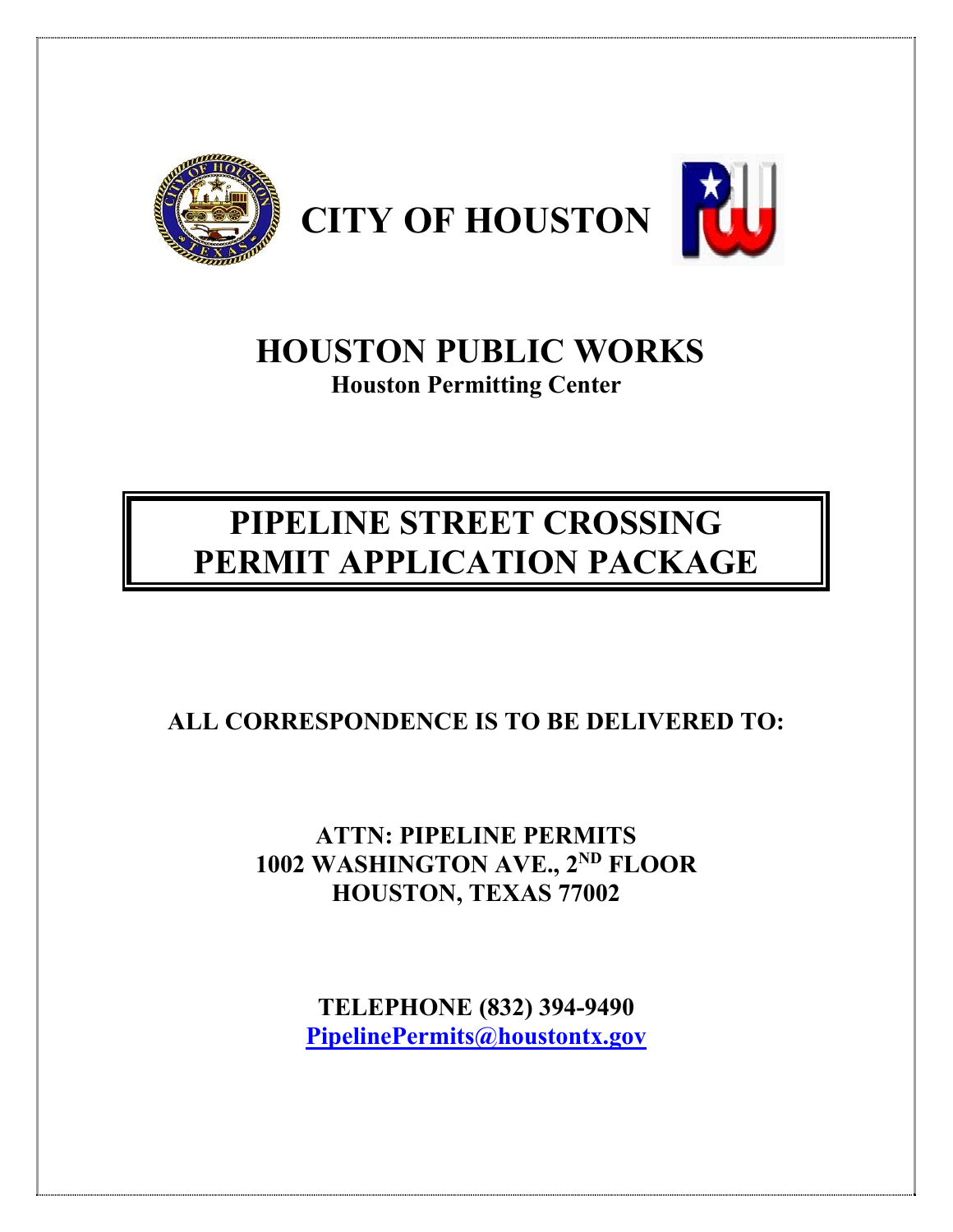

## **HOUSTON PUBLIC WORKS Houston Permitting Center**

# **PIPELINE STREET CROSSING PERMIT APPLICATION PACKAGE**

## **ALL CORRESPONDENCE IS TO BE DELIVERED TO:**

## **ATTN: PIPELINE PERMITS 1002 WASHINGTON AVE., 2ND FLOOR HOUSTON, TEXAS 77002**

**TELEPHONE (832) 394-9490 PipelinePermits@houstontx.gov**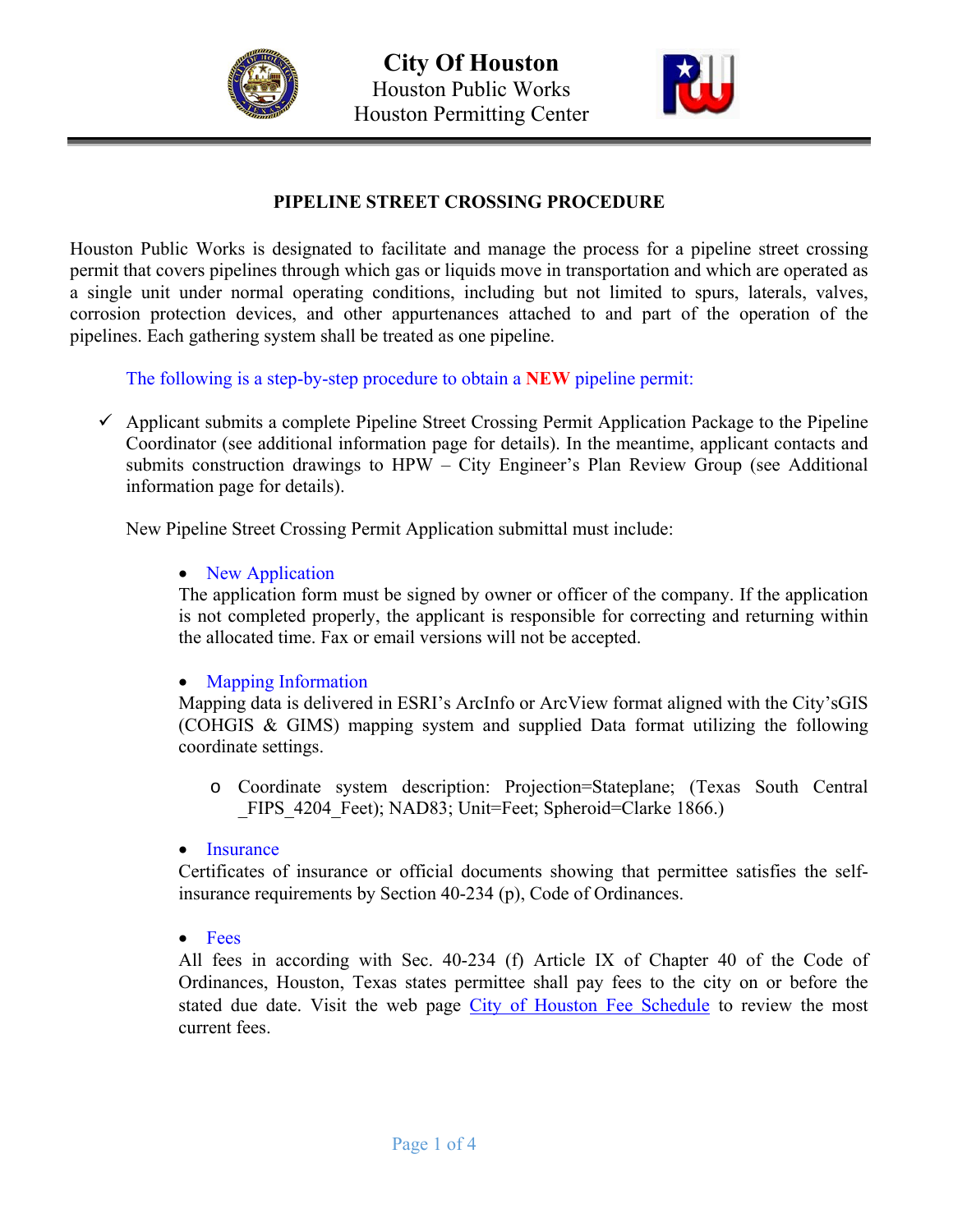



#### **PIPELINE STREET CROSSING PROCEDURE**

Houston Public Works is designated to facilitate and manage the process for a pipeline street crossing permit that covers pipelines through which gas or liquids move in transportation and which are operated as a single unit under normal operating conditions, including but not limited to spurs, laterals, valves, corrosion protection devices, and other appurtenances attached to and part of the operation of the pipelines. Each gathering system shall be treated as one pipeline.

The following is a step-by-step procedure to obtain a **NEW** pipeline permit:

 $\checkmark$  Applicant submits a complete Pipeline Street Crossing Permit Application Package to the Pipeline Coordinator (see additional information page for details). In the meantime, applicant contacts and submits construction drawings to HPW – City Engineer's Plan Review Group (see Additional information page for details).

New Pipeline Street Crossing Permit Application submittal must include:

#### • New Application

The application form must be signed by owner or officer of the company. If the application is not completed properly, the applicant is responsible for correcting and returning within the allocated time. Fax or email versions will not be accepted.

#### • Mapping Information

Mapping data is delivered in ESRI's ArcInfo or ArcView format aligned with the City'sGIS (COHGIS & GIMS) mapping system and supplied Data format utilizing the following coordinate settings.

o Coordinate system description: Projection=Stateplane; (Texas South Central FIPS 4204 Feet); NAD83; Unit=Feet; Spheroid=Clarke 1866.)

#### • Insurance

Certificates of insurance or official documents showing that permittee satisfies the selfinsurance requirements by Section 40-234 (p), Code of Ordinances.

• Fees

All fees in according with Sec. 40-234 (f) Article IX of Chapter 40 of the Code of Ordinances, Houston, Texas states permittee shall pay fees to the city on or before the stated due date. Visit the web page City of Houston Fee Schedule to review the most current fees.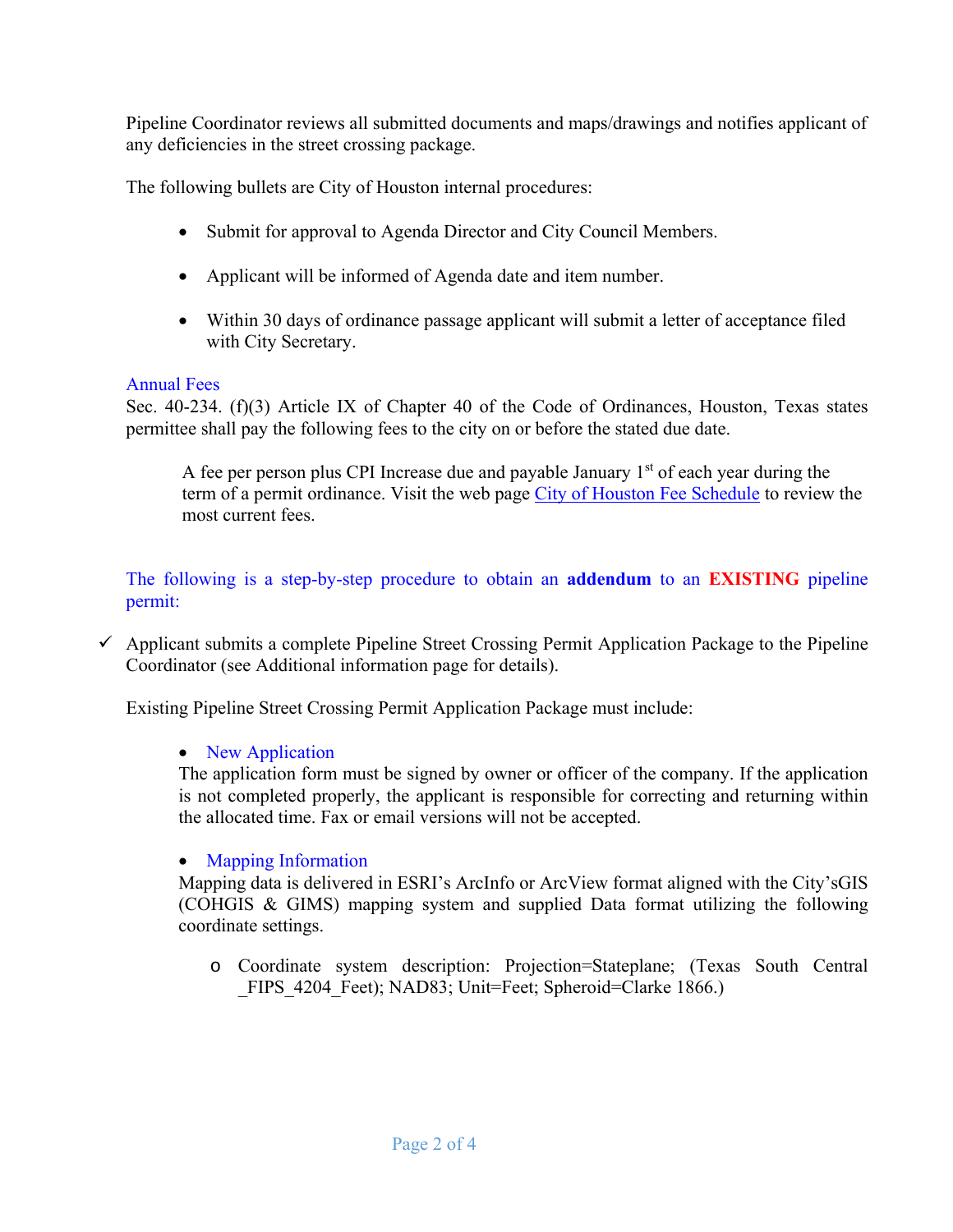Pipeline Coordinator reviews all submitted documents and maps/drawings and notifies applicant of any deficiencies in the street crossing package.

The following bullets are City of Houston internal procedures:

- Submit for approval to Agenda Director and City Council Members.
- Applicant will be informed of Agenda date and item number.
- Within 30 days of ordinance passage applicant will submit a letter of acceptance filed with City Secretary.

#### Annual Fees

Sec. 40-234. (f)(3) Article IX of Chapter 40 of the Code of Ordinances, Houston, Texas states permittee shall pay the following fees to the city on or before the stated due date.

A fee per person plus CPI Increase due and payable January  $1<sup>st</sup>$  of each year during the term of a permit ordinance. Visit the web page City of Houston Fee Schedule to review the most current fees.

The following is a step-by-step procedure to obtain an **addendum** to an **EXISTING** pipeline permit:

 $\checkmark$  Applicant submits a complete Pipeline Street Crossing Permit Application Package to the Pipeline Coordinator (see Additional information page for details).

Existing Pipeline Street Crossing Permit Application Package must include:

#### • New Application

The application form must be signed by owner or officer of the company. If the application is not completed properly, the applicant is responsible for correcting and returning within the allocated time. Fax or email versions will not be accepted.

#### • Mapping Information

Mapping data is delivered in ESRI's ArcInfo or ArcView format aligned with the City'sGIS (COHGIS & GIMS) mapping system and supplied Data format utilizing the following coordinate settings.

o Coordinate system description: Projection=Stateplane; (Texas South Central FIPS 4204 Feet); NAD83; Unit=Feet; Spheroid=Clarke 1866.)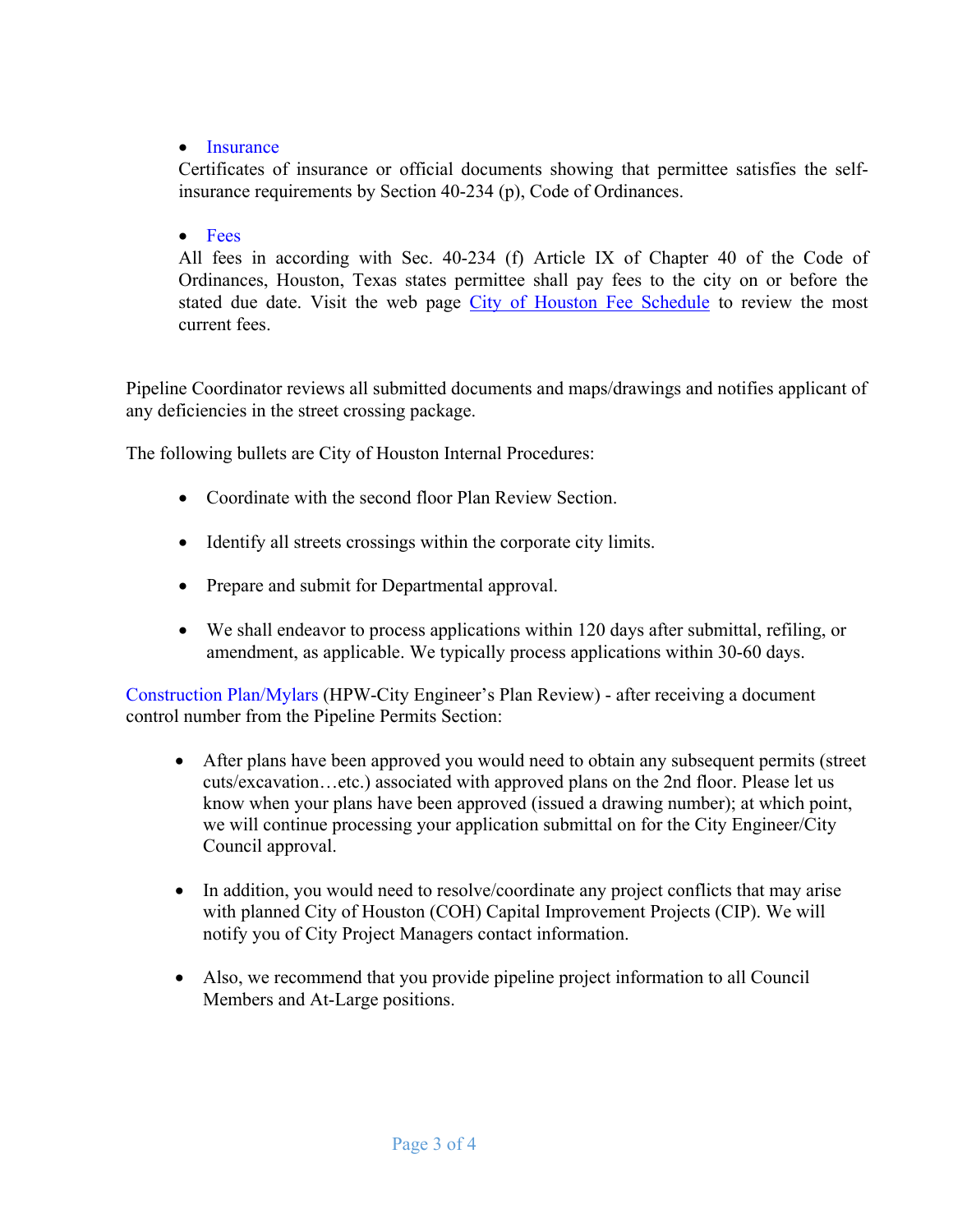#### • Insurance

Certificates of insurance or official documents showing that permittee satisfies the selfinsurance requirements by Section 40-234 (p), Code of Ordinances.

#### • Fees

All fees in according with Sec. 40-234 (f) Article IX of Chapter 40 of the Code of Ordinances, Houston, Texas states permittee shall pay fees to the city on or before the stated due date. Visit the web page City of Houston Fee Schedule to review the most current fees.

Pipeline Coordinator reviews all submitted documents and maps/drawings and notifies applicant of any deficiencies in the street crossing package.

The following bullets are City of Houston Internal Procedures:

- Coordinate with the second floor Plan Review Section.
- Identify all streets crossings within the corporate city limits.
- Prepare and submit for Departmental approval.
- We shall endeavor to process applications within 120 days after submittal, refiling, or amendment, as applicable. We typically process applications within 30-60 days.

Construction Plan/Mylars (HPW-City Engineer's Plan Review) - after receiving a document control number from the Pipeline Permits Section:

- After plans have been approved you would need to obtain any subsequent permits (street cuts/excavation…etc.) associated with approved plans on the 2nd floor. Please let us know when your plans have been approved (issued a drawing number); at which point, we will continue processing your application submittal on for the City Engineer/City Council approval.
- In addition, you would need to resolve/coordinate any project conflicts that may arise with planned City of Houston (COH) Capital Improvement Projects (CIP). We will notify you of City Project Managers contact information.
- Also, we recommend that you provide pipeline project information to all Council Members and At-Large positions.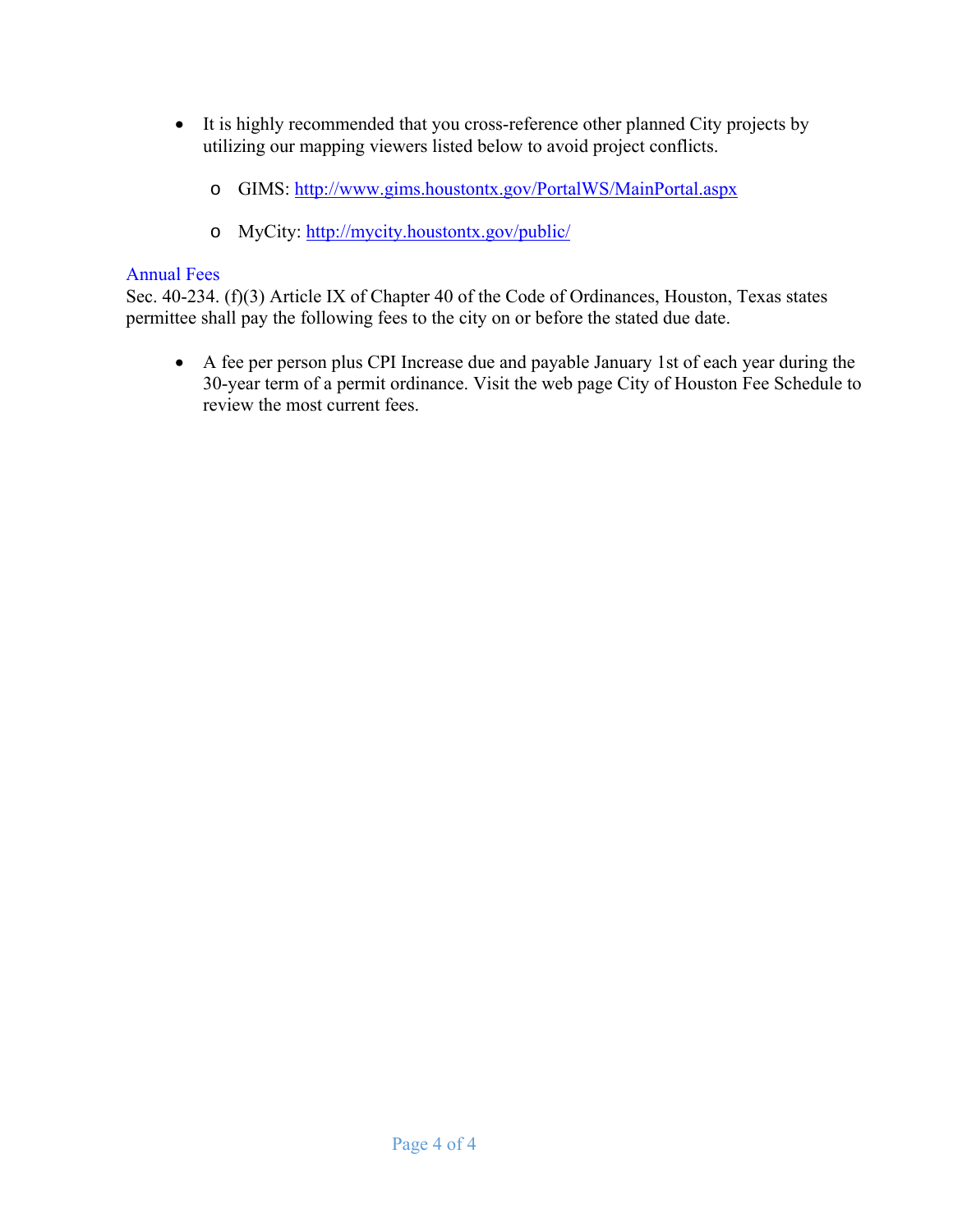- It is highly recommended that you cross-reference other planned City projects by utilizing our mapping viewers listed below to avoid project conflicts.
	- o GIMS: http://www.gims.houstontx.gov/PortalWS/MainPortal.aspx
	- o MyCity: http://mycity.houstontx.gov/public/

#### Annual Fees

Sec. 40-234. (f)(3) Article IX of Chapter 40 of the Code of Ordinances, Houston, Texas states permittee shall pay the following fees to the city on or before the stated due date.

 A fee per person plus CPI Increase due and payable January 1st of each year during the 30-year term of a permit ordinance. Visit the web page City of Houston Fee Schedule to review the most current fees.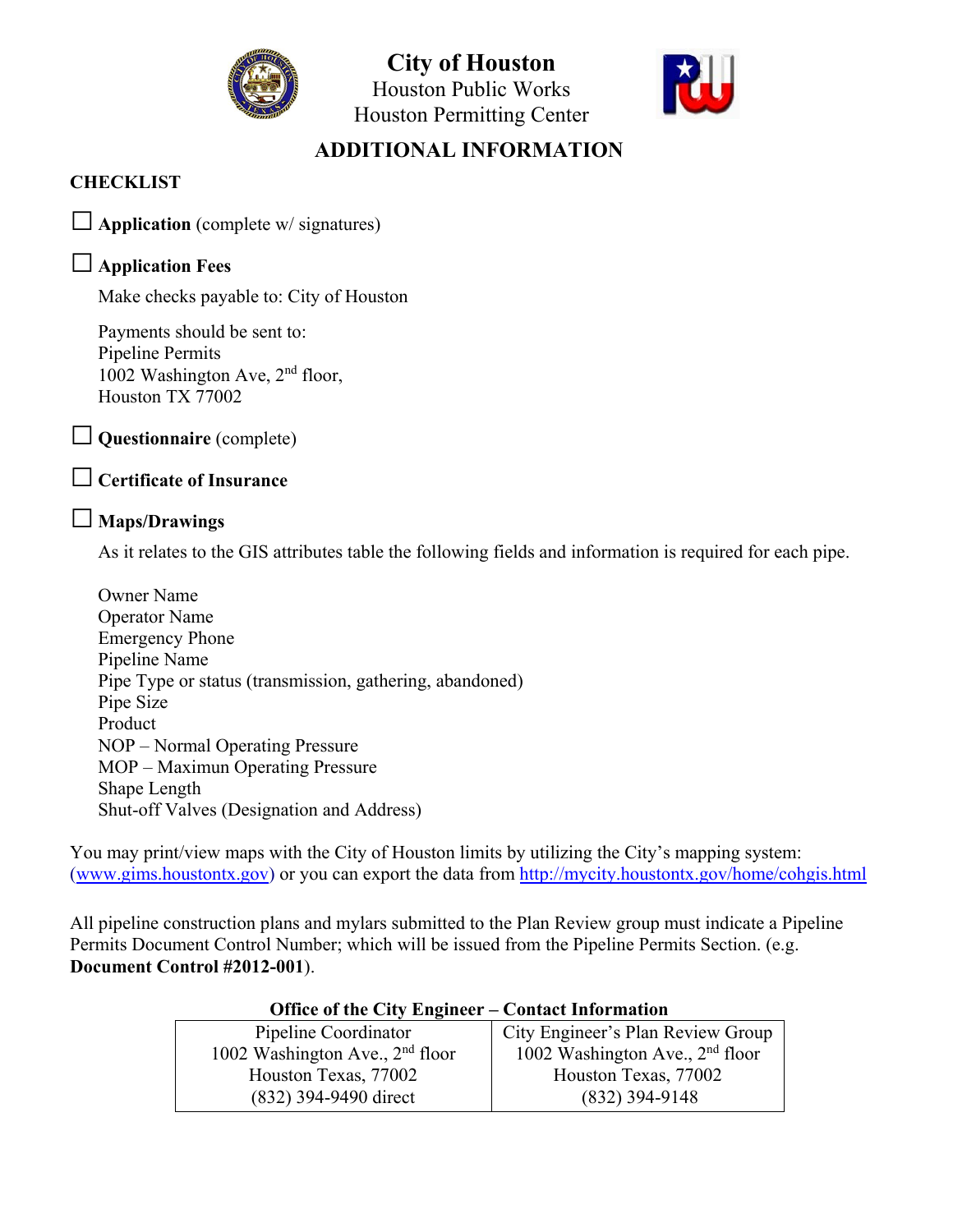

**City of Houston**  Houston Public Works Houston Permitting Center



### **ADDITIONAL INFORMATION**

#### **CHECKLIST**

□ **Application** (complete w/ signatures)

#### □ **Application Fees**

Make checks payable to: City of Houston

Payments should be sent to: Pipeline Permits 1002 Washington Ave, 2nd floor, Houston TX 77002

□ **Questionnaire** (complete)

#### □ **Certificate of Insurance**

#### □ **Maps/Drawings**

As it relates to the GIS attributes table the following fields and information is required for each pipe.

Owner Name Operator Name Emergency Phone Pipeline Name Pipe Type or status (transmission, gathering, abandoned) Pipe Size Product NOP – Normal Operating Pressure MOP – Maximun Operating Pressure Shape Length Shut-off Valves (Designation and Address)

You may print/view maps with the City of Houston limits by utilizing the City's mapping system: (www.gims.houstontx.gov) or you can export the data from http://mycity.houstontx.gov/home/cohgis.html

All pipeline construction plans and mylars submitted to the Plan Review group must indicate a Pipeline Permits Document Control Number; which will be issued from the Pipeline Permits Section. (e.g. **Document Control #2012-001**).

| OTHER OF the City Engineer – Contact Information |                                   |
|--------------------------------------------------|-----------------------------------|
| Pipeline Coordinator                             | City Engineer's Plan Review Group |
| 1002 Washington Ave., $2nd$ floor                | 1002 Washington Ave., $2nd$ floor |
| Houston Texas, 77002                             | Houston Texas, 77002              |
| (832) 394-9490 direct                            | $(832)$ 394-9148                  |

#### **Office of the City Engineer – Contact Information**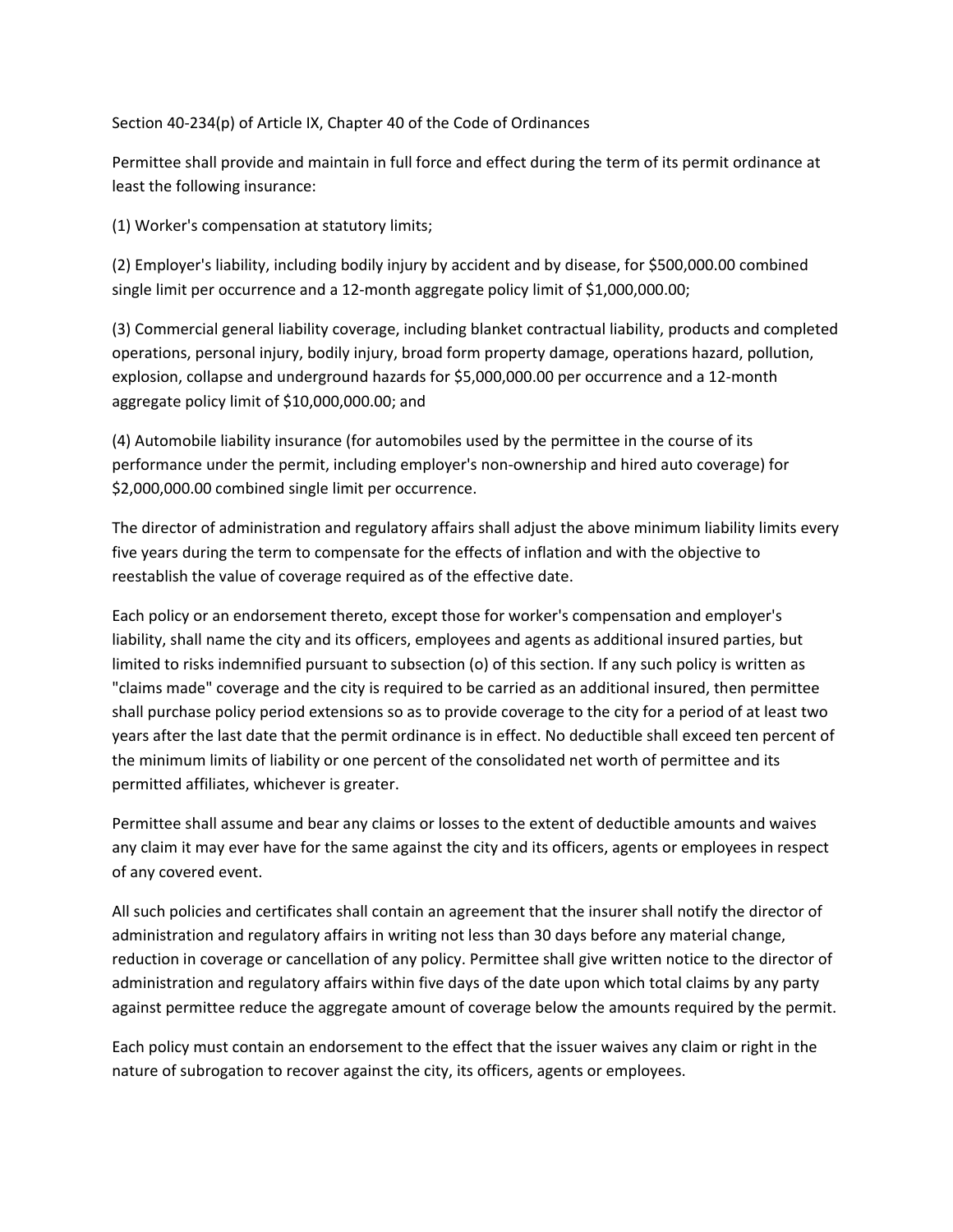Section 40‐234(p) of Article IX, Chapter 40 of the Code of Ordinances

Permittee shall provide and maintain in full force and effect during the term of its permit ordinance at least the following insurance:

(1) Worker's compensation at statutory limits;

(2) Employer's liability, including bodily injury by accident and by disease, for \$500,000.00 combined single limit per occurrence and a 12‐month aggregate policy limit of \$1,000,000.00;

(3) Commercial general liability coverage, including blanket contractual liability, products and completed operations, personal injury, bodily injury, broad form property damage, operations hazard, pollution, explosion, collapse and underground hazards for \$5,000,000.00 per occurrence and a 12‐month aggregate policy limit of \$10,000,000.00; and

(4) Automobile liability insurance (for automobiles used by the permittee in the course of its performance under the permit, including employer's non‐ownership and hired auto coverage) for \$2,000,000.00 combined single limit per occurrence.

The director of administration and regulatory affairs shall adjust the above minimum liability limits every five years during the term to compensate for the effects of inflation and with the objective to reestablish the value of coverage required as of the effective date.

Each policy or an endorsement thereto, except those for worker's compensation and employer's liability, shall name the city and its officers, employees and agents as additional insured parties, but limited to risks indemnified pursuant to subsection (o) of this section. If any such policy is written as "claims made" coverage and the city is required to be carried as an additional insured, then permittee shall purchase policy period extensions so as to provide coverage to the city for a period of at least two years after the last date that the permit ordinance is in effect. No deductible shall exceed ten percent of the minimum limits of liability or one percent of the consolidated net worth of permittee and its permitted affiliates, whichever is greater.

Permittee shall assume and bear any claims or losses to the extent of deductible amounts and waives any claim it may ever have for the same against the city and its officers, agents or employees in respect of any covered event.

All such policies and certificates shall contain an agreement that the insurer shall notify the director of administration and regulatory affairs in writing not less than 30 days before any material change, reduction in coverage or cancellation of any policy. Permittee shall give written notice to the director of administration and regulatory affairs within five days of the date upon which total claims by any party against permittee reduce the aggregate amount of coverage below the amounts required by the permit.

Each policy must contain an endorsement to the effect that the issuer waives any claim or right in the nature of subrogation to recover against the city, its officers, agents or employees.